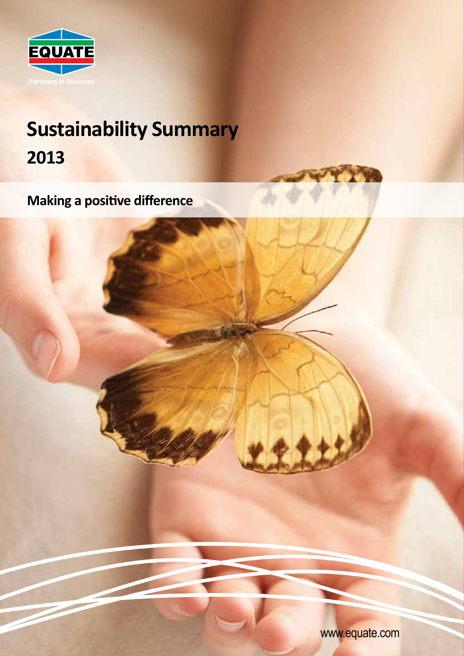

# **Sustainability Summary 2013**

**Making a positive difference**

www.equate.com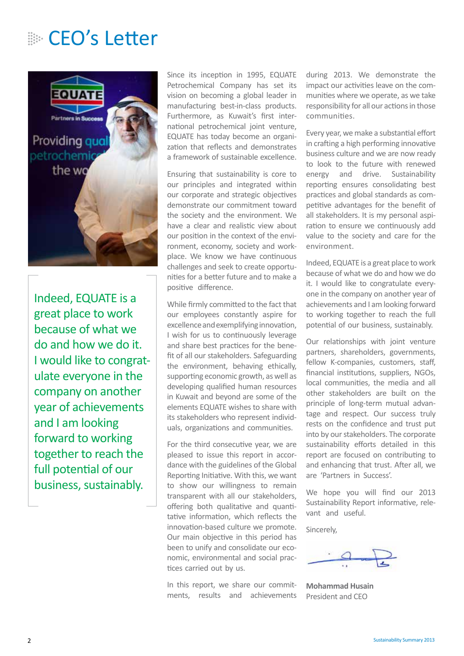### **EO's Letter**



Indeed, EQUATE is a great place to work because of what we do and how we do it. I would like to congratulate everyone in the company on another year of achievements and I am looking forward to working together to reach the full potential of our business, sustainably.

Since its inception in 1995, EQUATE Petrochemical Company has set its vision on becoming a global leader in manufacturing best-in-class products. Furthermore, as Kuwait's first international petrochemical joint venture, EQUATE has today become an organization that reflects and demonstrates a framework of sustainable excellence.

Ensuring that sustainability is core to our principles and integrated within our corporate and strategic objectives demonstrate our commitment toward the society and the environment. We have a clear and realistic view about our position in the context of the environment, economy, society and workplace. We know we have continuous challenges and seek to create opportunities for a better future and to make a positive difference.

While firmly committed to the fact that our employees constantly aspire for excellence and exemplifying innovation, I wish for us to continuously leverage and share best practices for the benefit of all our stakeholders. Safeguarding the environment, behaving ethically, supporting economic growth, as well as developing qualified human resources in Kuwait and beyond are some of the elements EQUATE wishes to share with its stakeholders who represent individuals, organizations and communities.

For the third consecutive year, we are pleased to issue this report in accordance with the guidelines of the Global Reporting Initiative. With this, we want to show our willingness to remain transparent with all our stakeholders, offering both qualitative and quantitative information, which reflects the innovation-based culture we promote. Our main objective in this period has been to unify and consolidate our economic, environmental and social practices carried out by us.

In this report, we share our commitments, results and achievements during 2013. We demonstrate the impact our activities leave on the communities where we operate, as we take responsibility for all our actions in those communities.

Every year, we make a substantial effort in crafting a high performing innovative business culture and we are now ready to look to the future with renewed energy and drive. Sustainability reporting ensures consolidating best practices and global standards as competitive advantages for the benefit of all stakeholders. It is my personal aspiration to ensure we continuously add value to the society and care for the environment.

Indeed, EQUATE is a great place to work because of what we do and how we do it. I would like to congratulate everyone in the company on another year of achievements and I am looking forward to working together to reach the full potential of our business, sustainably.

Our relationships with joint venture partners, shareholders, governments, fellow K-companies, customers, staff, financial institutions, suppliers, NGOs, local communities, the media and all other stakeholders are built on the principle of long-term mutual advantage and respect. Our success truly rests on the confidence and trust put into by our stakeholders. The corporate sustainability efforts detailed in this report are focused on contributing to and enhancing that trust. After all, we are 'Partners in Success'.

We hope you will find our 2013 Sustainability Report informative, relevant and useful.

Sincerely,

**Mohammad Husain** President and CEO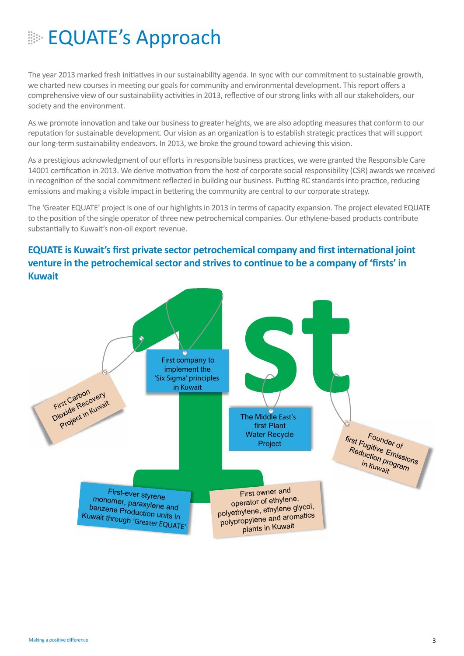## **EQUATE's Approach**

The year 2013 marked fresh initiatives in our sustainability agenda. In sync with our commitment to sustainable growth, we charted new courses in meeting our goals for community and environmental development. This report offers a comprehensive view of our sustainability activities in 2013, reflective of our strong links with all our stakeholders, our society and the environment.

As we promote innovation and take our business to greater heights, we are also adopting measures that conform to our reputation for sustainable development. Our vision as an organization is to establish strategic practices that will support our long-term sustainability endeavors. In 2013, we broke the ground toward achieving this vision.

As a prestigious acknowledgment of our efforts in responsible business practices, we were granted the Responsible Care 14001 certification in 2013. We derive motivation from the host of corporate social responsibility (CSR) awards we received in recognition of the social commitment reflected in building our business. Putting RC standards into practice, reducing emissions and making a visible impact in bettering the community are central to our corporate strategy.

The 'Greater EQUATE' project is one of our highlights in 2013 in terms of capacity expansion. The project elevated EQUATE to the position of the single operator of three new petrochemical companies. Our ethylene-based products contribute substantially to Kuwait's non-oil export revenue.

### **EQUATE is Kuwait's first private sector petrochemical company and first international joint venture in the petrochemical sector and strives to continue to be a company of 'firsts' in Kuwait**

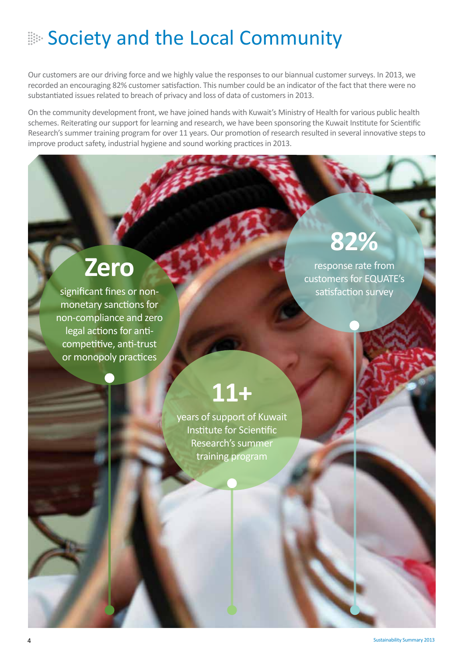## **Society and the Local Community**

Our customers are our driving force and we highly value the responses to our biannual customer surveys. In 2013, we recorded an encouraging 82% customer satisfaction. This number could be an indicator of the fact that there were no substantiated issues related to breach of privacy and loss of data of customers in 2013.

On the community development front, we have joined hands with Kuwait's Ministry of Health for various public health schemes. Reiterating our support for learning and research, we have been sponsoring the Kuwait Institute for Scientific Research's summer training program for over 11 years. Our promotion of research resulted in several innovative steps to improve product safety, industrial hygiene and sound working practices in 2013.

# **Zero**

significant fines or nonmonetary sanctions for non-compliance and zero legal actions for anticompetitive, anti-trust or monopoly practices

# **82%**

response rate from customers for EQUATE's satisfaction survey

# **11+**

years of support of Kuwait Institute for Scientific Research's summer training program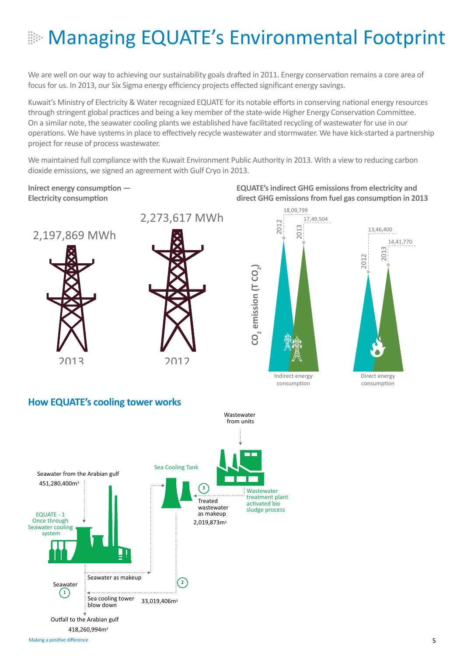# **EXAGRATE's Environmental Footprint**

We are well on our way to achieving our sustainability goals drafted in 2011. Energy conservation remains a core area of focus for us. In 2013, our Six Sigma energy efficiency projects effected significant energy savings.

Kuwait's Ministry of Electricity & Water recognized EQUATE for its notable efforts in conserving national energy resources through stringent global practices and being a key member of the state-wide Higher Energy Conservation Committee. On a similar note, the seawater cooling plants we established have facilitated recycling of wastewater for use in our operations. We have systems in place to effectively recycle wastewater and stormwater. We have kick-started a partnership project for reuse of process wastewater.

We maintained full compliance with the Kuwait Environment Public Authority in 2013. With a view to reducing carbon dioxide emissions, we signed an agreement with Gulf Cryo in 2013.<br>

**Inirect energy consumption — Electricity consumption**



2013







#### **How EQUATE's cooling tower works**

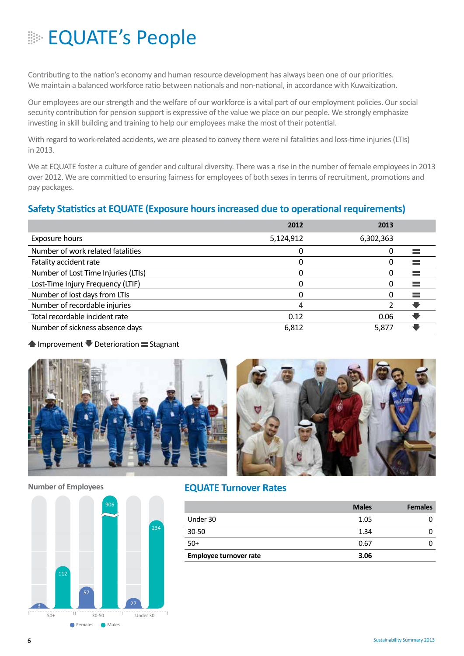## **EQUATE's People**

Contributing to the nation's economy and human resource development has always been one of our priorities. We maintain a balanced workforce ratio between nationals and non-national, in accordance with Kuwaitization.

Our employees are our strength and the welfare of our workforce is a vital part of our employment policies. Our social security contribution for pension support is expressive of the value we place on our people. We strongly emphasize investing in skill building and training to help our employees make the most of their potential.

With regard to work-related accidents, we are pleased to convey there were nil fatalities and loss-time injuries (LTIs) in 2013.

We at EQUATE foster a culture of gender and cultural diversity. There was a rise in the number of female employees in 2013 over 2012. We are committed to ensuring fairness for employees of both sexes in terms of recruitment, promotions and pay packages.

#### **Safety Statistics at EQUATE (Exposure hours increased due to operational requirements)**

|                                     | 2012      | 2013      |  |
|-------------------------------------|-----------|-----------|--|
| Exposure hours                      | 5,124,912 | 6,302,363 |  |
| Number of work related fatalities   |           | 0         |  |
| Fatality accident rate              |           | O         |  |
| Number of Lost Time Injuries (LTIs) |           | O         |  |
| Lost-Time Injury Frequency (LTIF)   |           | 0         |  |
| Number of lost days from LTIs       |           | $\Omega$  |  |
| Number of recordable injuries       | 4         |           |  |
| Total recordable incident rate      | 0.12      | 0.06      |  |
| Number of sickness absence days     | 6,812     | 5,877     |  |

#### $\blacktriangle$  Improvement  $\blacktriangledown$  Deterioration  $\equiv$  Stagnant



#### **Number of Employees**



#### **EQUATE Turnover Rates**

|                        | <b>Males</b> | <b>Females</b> |
|------------------------|--------------|----------------|
| Under 30               | 1.05         |                |
| 30-50                  | 1.34         |                |
| $50+$                  | 0.67         |                |
| Employee turnover rate | 3.06         |                |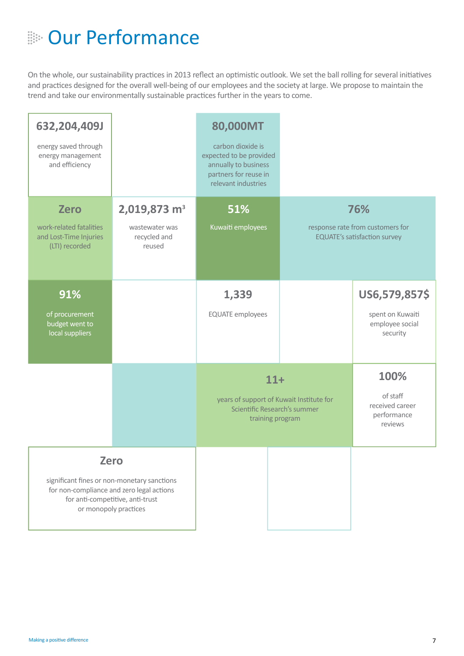## **EDE** Our Performance

On the whole, our sustainability practices in 2013 reflect an optimistic outlook. We set the ball rolling for several initiatives and practices designed for the overall well-being of our employees and the society at large. We propose to maintain the trend and take our environmentally sustainable practices further in the years to come.

| 632,204,409J<br>energy saved through<br>energy management<br>and efficiency        |                                                                                                                                                                      | 80,000MT<br>carbon dioxide is<br>expected to be provided<br>annually to business<br>partners for reuse in<br>relevant industries |  |                                                                                |  |
|------------------------------------------------------------------------------------|----------------------------------------------------------------------------------------------------------------------------------------------------------------------|----------------------------------------------------------------------------------------------------------------------------------|--|--------------------------------------------------------------------------------|--|
| <b>Zero</b><br>work-related fatalities<br>and Lost-Time Injuries<br>(LTI) recorded | 2,019,873 m <sup>3</sup><br>wastewater was<br>recycled and<br>reused                                                                                                 | 51%<br>Kuwaiti employees                                                                                                         |  | 76%<br>response rate from customers for<br><b>EQUATE's satisfaction survey</b> |  |
| 91%<br>of procurement<br>budget went to<br>local suppliers                         |                                                                                                                                                                      | 1,339<br><b>EQUATE</b> employees                                                                                                 |  | US6,579,857\$<br>spent on Kuwaiti<br>employee social<br>security               |  |
|                                                                                    |                                                                                                                                                                      | $11+$<br>years of support of Kuwait Institute for<br>Scientific Research's summer<br>training program                            |  | 100%<br>of staff<br>received career<br>performance<br>reviews                  |  |
|                                                                                    | <b>Zero</b><br>significant fines or non-monetary sanctions<br>for non-compliance and zero legal actions<br>for anti-competitive, anti-trust<br>or monopoly practices |                                                                                                                                  |  |                                                                                |  |